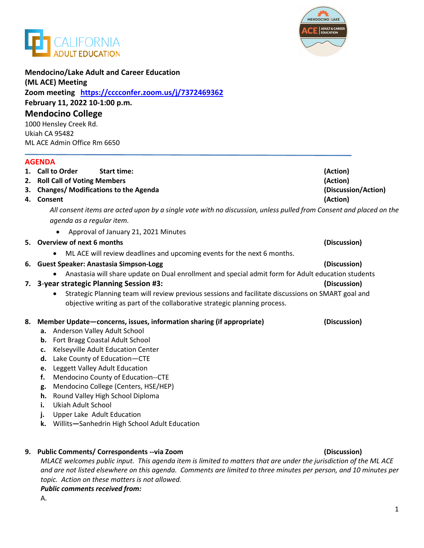



| <b>Mendocino/Lake Adult and Career Education</b><br>(ML ACE) Meeting<br>Zoom meeting https://cccconfer.zoom.us/j/7372469362<br>February 11, 2022 10-1:00 p.m.<br><b>Mendocino College</b><br>1000 Hensley Creek Rd. |                                                                                                                    |                     |  |                                        |          |
|---------------------------------------------------------------------------------------------------------------------------------------------------------------------------------------------------------------------|--------------------------------------------------------------------------------------------------------------------|---------------------|--|----------------------------------------|----------|
|                                                                                                                                                                                                                     |                                                                                                                    |                     |  | Ukiah CA 95482                         |          |
|                                                                                                                                                                                                                     |                                                                                                                    |                     |  | ML ACE Admin Office Rm 6650            |          |
|                                                                                                                                                                                                                     |                                                                                                                    |                     |  | <b>AGENDA</b>                          |          |
|                                                                                                                                                                                                                     |                                                                                                                    |                     |  | 1. Call to Order<br><b>Start time:</b> | (Action) |
|                                                                                                                                                                                                                     |                                                                                                                    |                     |  | 2. Roll Call of Voting Members         | (Action) |
|                                                                                                                                                                                                                     | 3. Changes/Modifications to the Agenda                                                                             | (Discussion/Action) |  |                                        |          |
|                                                                                                                                                                                                                     | 4. Consent                                                                                                         | (Action)            |  |                                        |          |
|                                                                                                                                                                                                                     | All consent items are acted upon by a single vote with no discussion, unless pulled from Consent and placed on the |                     |  |                                        |          |
|                                                                                                                                                                                                                     | agenda as a regular item.                                                                                          |                     |  |                                        |          |
|                                                                                                                                                                                                                     | Approval of January 21, 2021 Minutes                                                                               |                     |  |                                        |          |
|                                                                                                                                                                                                                     | 5. Overview of next 6 months                                                                                       | (Discussion)        |  |                                        |          |
|                                                                                                                                                                                                                     | ML ACE will review deadlines and upcoming events for the next 6 months.<br>٠                                       |                     |  |                                        |          |
|                                                                                                                                                                                                                     | 6. Guest Speaker: Anastasia Simpson-Logg                                                                           | (Discussion)        |  |                                        |          |
|                                                                                                                                                                                                                     | Anastasia will share update on Dual enrollment and special admit form for Adult education students<br>$\bullet$    |                     |  |                                        |          |
|                                                                                                                                                                                                                     | 7. 3-year strategic Planning Session #3:                                                                           | (Discussion)        |  |                                        |          |
|                                                                                                                                                                                                                     | Strategic Planning team will review previous sessions and facilitate discussions on SMART goal and<br>٠            |                     |  |                                        |          |
|                                                                                                                                                                                                                     | objective writing as part of the collaborative strategic planning process.                                         |                     |  |                                        |          |
| 8.                                                                                                                                                                                                                  | Member Update-concerns, issues, information sharing (if appropriate)                                               | (Discussion)        |  |                                        |          |
|                                                                                                                                                                                                                     | a. Anderson Valley Adult School                                                                                    |                     |  |                                        |          |
|                                                                                                                                                                                                                     | Fort Bragg Coastal Adult School<br>b.                                                                              |                     |  |                                        |          |
|                                                                                                                                                                                                                     | Kelseyville Adult Education Center<br>c.                                                                           |                     |  |                                        |          |
|                                                                                                                                                                                                                     | d. Lake County of Education-CTE                                                                                    |                     |  |                                        |          |
|                                                                                                                                                                                                                     | e. Leggett Valley Adult Education                                                                                  |                     |  |                                        |          |
|                                                                                                                                                                                                                     | f. Mendocino County of Education--CTE                                                                              |                     |  |                                        |          |
|                                                                                                                                                                                                                     | Mendocino College (Centers, HSE/HEP)<br>g.<br>Round Valley High School Diploma<br>h.                               |                     |  |                                        |          |
|                                                                                                                                                                                                                     | Ukiah Adult School<br>i.                                                                                           |                     |  |                                        |          |
|                                                                                                                                                                                                                     | Upper Lake Adult Education<br>j.                                                                                   |                     |  |                                        |          |
|                                                                                                                                                                                                                     | Willits-Sanhedrin High School Adult Education<br>k.                                                                |                     |  |                                        |          |
|                                                                                                                                                                                                                     |                                                                                                                    |                     |  |                                        |          |
|                                                                                                                                                                                                                     | 9. Public Comments/ Correspondents -- via Zoom                                                                     | (Discussion)        |  |                                        |          |
|                                                                                                                                                                                                                     |                                                                                                                    |                     |  |                                        |          |

*MLACE welcomes public input. This agenda item is limited to matters that are under the jurisdiction of the ML ACE and are not listed elsewhere on this agenda. Comments are limited to three minutes per person, and 10 minutes per topic. Action on these matters is not allowed.*

*Public comments received from:* 

A.